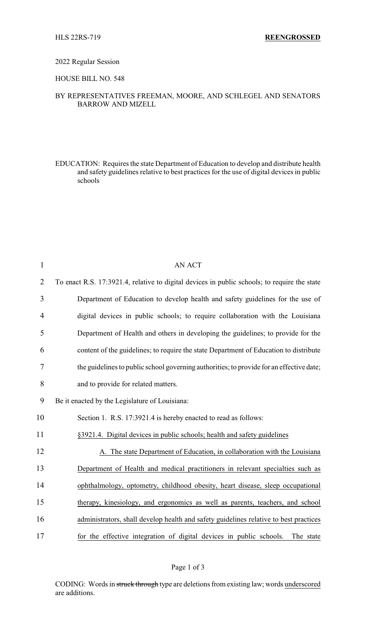#### 2022 Regular Session

## HOUSE BILL NO. 548

### BY REPRESENTATIVES FREEMAN, MOORE, AND SCHLEGEL AND SENATORS BARROW AND MIZELL

EDUCATION: Requires the state Department of Education to develop and distribute health and safety guidelines relative to best practices for the use of digital devices in public schools

| $\mathbf{1}$   | <b>AN ACT</b>                                                                                |
|----------------|----------------------------------------------------------------------------------------------|
| $\overline{2}$ | To enact R.S. 17:3921.4, relative to digital devices in public schools; to require the state |
| 3              | Department of Education to develop health and safety guidelines for the use of               |
| 4              | digital devices in public schools; to require collaboration with the Louisiana               |
| 5              | Department of Health and others in developing the guidelines; to provide for the             |
| 6              | content of the guidelines; to require the state Department of Education to distribute        |
| 7              | the guidelines to public school governing authorities; to provide for an effective date;     |
| 8              | and to provide for related matters.                                                          |
| 9              | Be it enacted by the Legislature of Louisiana:                                               |
| 10             | Section 1. R.S. 17:3921.4 is hereby enacted to read as follows:                              |
| 11             | §3921.4. Digital devices in public schools; health and safety guidelines                     |
| 12             | A. The state Department of Education, in collaboration with the Louisiana                    |
| 13             | Department of Health and medical practitioners in relevant specialties such as               |
| 14             | ophthalmology, optometry, childhood obesity, heart disease, sleep occupational               |
| 15             | therapy, kinesiology, and ergonomics as well as parents, teachers, and school                |
| 16             | administrators, shall develop health and safety guidelines relative to best practices        |
| 17             | for the effective integration of digital devices in public schools.<br>The state             |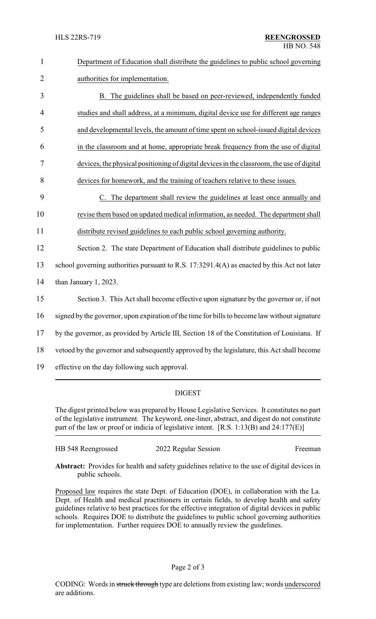| $\mathbf{1}$   | Department of Education shall distribute the guidelines to public school governing            |  |  |  |
|----------------|-----------------------------------------------------------------------------------------------|--|--|--|
| $\overline{2}$ | authorities for implementation.                                                               |  |  |  |
| 3              | B. The guidelines shall be based on peer-reviewed, independently funded                       |  |  |  |
| $\overline{4}$ | studies and shall address, at a minimum, digital device use for different age ranges          |  |  |  |
| 5              | and developmental levels, the amount of time spent on school-issued digital devices           |  |  |  |
| 6              | in the classroom and at home, appropriate break frequency from the use of digital             |  |  |  |
| $\tau$         | devices, the physical positioning of digital devices in the classroom, the use of digital     |  |  |  |
| 8              | devices for homework, and the training of teachers relative to these issues.                  |  |  |  |
| 9              | C. The department shall review the guidelines at least once annually and                      |  |  |  |
| 10             | revise them based on updated medical information, as needed. The department shall             |  |  |  |
| 11             | distribute revised guidelines to each public school governing authority.                      |  |  |  |
| 12             | Section 2. The state Department of Education shall distribute guidelines to public            |  |  |  |
| 13             | school governing authorities pursuant to R.S. 17:3291.4(A) as enacted by this Act not later   |  |  |  |
| 14             | than January 1, 2023.                                                                         |  |  |  |
| 15             | Section 3. This Act shall become effective upon signature by the governor or, if not          |  |  |  |
| 16             | signed by the governor, upon expiration of the time for bills to become law without signature |  |  |  |
| 17             | by the governor, as provided by Article III, Section 18 of the Constitution of Louisiana. If  |  |  |  |
| 18             | vetoed by the governor and subsequently approved by the legislature, this Act shall become    |  |  |  |
| 19             | effective on the day following such approval.                                                 |  |  |  |

# DIGEST

The digest printed below was prepared by House Legislative Services. It constitutes no part of the legislative instrument. The keyword, one-liner, abstract, and digest do not constitute part of the law or proof or indicia of legislative intent. [R.S. 1:13(B) and 24:177(E)]

| HB 548 Reengrossed | 2022 Regular Session | Freeman |
|--------------------|----------------------|---------|
|--------------------|----------------------|---------|

**Abstract:** Provides for health and safety guidelines relative to the use of digital devices in public schools.

Proposed law requires the state Dept. of Education (DOE), in collaboration with the La. Dept. of Health and medical practitioners in certain fields, to develop health and safety guidelines relative to best practices for the effective integration of digital devices in public schools. Requires DOE to distribute the guidelines to public school governing authorities for implementation. Further requires DOE to annually review the guidelines.